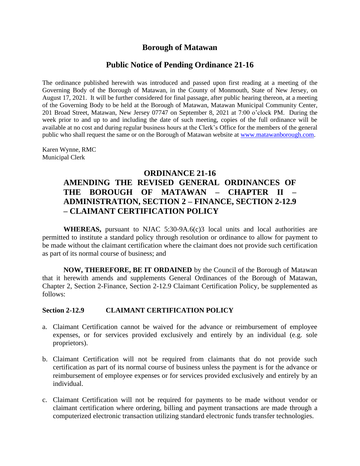## **Borough of Matawan**

## **Public Notice of Pending Ordinance 21-16**

The ordinance published herewith was introduced and passed upon first reading at a meeting of the Governing Body of the Borough of Matawan, in the County of Monmouth, State of New Jersey, on August 17, 2021. It will be further considered for final passage, after public hearing thereon, at a meeting of the Governing Body to be held at the Borough of Matawan, Matawan Municipal Community Center, 201 Broad Street, Matawan, New Jersey 07747 on September 8, 2021 at 7:00 o'clock PM. During the week prior to and up to and including the date of such meeting, copies of the full ordinance will be available at no cost and during regular business hours at the Clerk's Office for the members of the general public who shall request the same or on the Borough of Matawan website at [www.matawanborough.com.](http://www.matawanborough.com/)

Karen Wynne, RMC Municipal Clerk

### **ORDINANCE 21-16**

# **AMENDING THE REVISED GENERAL ORDINANCES OF THE BOROUGH OF MATAWAN – CHAPTER II – ADMINISTRATION, SECTION 2 – FINANCE, SECTION 2-12.9 – CLAIMANT CERTIFICATION POLICY**

**WHEREAS,** pursuant to NJAC 5:30-9A.6(c)3 local units and local authorities are permitted to institute a standard policy through resolution or ordinance to allow for payment to be made without the claimant certification where the claimant does not provide such certification as part of its normal course of business; and

**NOW, THEREFORE, BE IT ORDAINED** by the Council of the Borough of Matawan that it herewith amends and supplements General Ordinances of the Borough of Matawan, Chapter 2, Section 2-Finance, Section 2-12.9 Claimant Certification Policy, be supplemented as follows:

#### **Section 2-12.9 CLAIMANT CERTIFICATION POLICY**

- a. Claimant Certification cannot be waived for the advance or reimbursement of employee expenses, or for services provided exclusively and entirely by an individual (e.g. sole proprietors).
- b. Claimant Certification will not be required from claimants that do not provide such certification as part of its normal course of business unless the payment is for the advance or reimbursement of employee expenses or for services provided exclusively and entirely by an individual.
- c. Claimant Certification will not be required for payments to be made without vendor or claimant certification where ordering, billing and payment transactions are made through a computerized electronic transaction utilizing standard electronic funds transfer technologies.